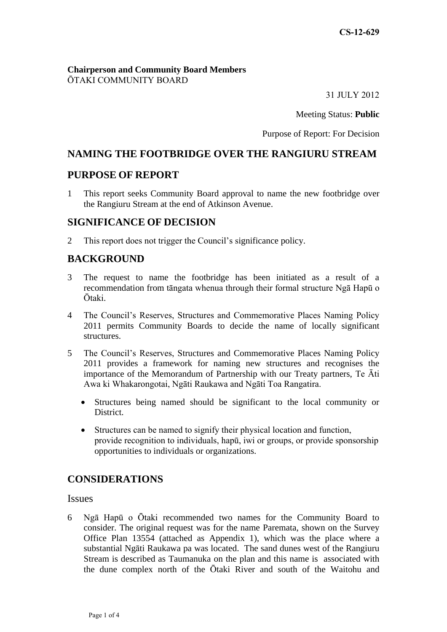#### **Chairperson and Community Board Members** ŌTAKI COMMUNITY BOARD

31 JULY 2012

Meeting Status: **Public**

Purpose of Report: For Decision

# **NAMING THE FOOTBRIDGE OVER THE RANGIURU STREAM**

## **PURPOSE OF REPORT**

1 This report seeks Community Board approval to name the new footbridge over the Rangiuru Stream at the end of Atkinson Avenue.

### **SIGNIFICANCE OF DECISION**

2 This report does not trigger the Council's significance policy.

## **BACKGROUND**

- 3 The request to name the footbridge has been initiated as a result of a recommendation from tāngata whenua through their formal structure Ngā Hapū o Ōtaki.
- 4 The Council's Reserves, Structures and Commemorative Places Naming Policy 2011 permits Community Boards to decide the name of locally significant structures.
- 5 The Council's Reserves, Structures and Commemorative Places Naming Policy 2011 provides a framework for naming new structures and recognises the importance of the Memorandum of Partnership with our Treaty partners, Te Āti Awa ki Whakarongotai, Ngāti Raukawa and Ngāti Toa Rangatira.
	- Structures being named should be significant to the local community or District.
	- Structures can be named to signify their physical location and function, provide recognition to individuals, hapū, iwi or groups, or provide sponsorship opportunities to individuals or organizations.

# **CONSIDERATIONS**

Issues

6 Ngā Hapū o Ōtaki recommended two names for the Community Board to consider. The original request was for the name Paremata, shown on the Survey Office Plan 13554 (attached as Appendix 1), which was the place where a substantial Ngāti Raukawa pa was located. The sand dunes west of the Rangiuru Stream is described as Taumanuka on the plan and this name is associated with the dune complex north of the Ōtaki River and south of the Waitohu and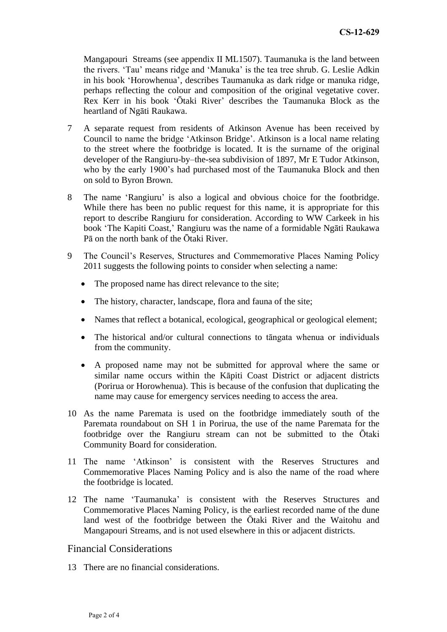Mangapouri Streams (see appendix II ML1507). Taumanuka is the land between the rivers. 'Tau' means ridge and 'Manuka' is the tea tree shrub. G. Leslie Adkin in his book 'Horowhenua', describes Taumanuka as dark ridge or manuka ridge, perhaps reflecting the colour and composition of the original vegetative cover. Rex Kerr in his book 'Ōtaki River' describes the Taumanuka Block as the heartland of Ngāti Raukawa.

- 7 A separate request from residents of Atkinson Avenue has been received by Council to name the bridge 'Atkinson Bridge'. Atkinson is a local name relating to the street where the footbridge is located. It is the surname of the original developer of the Rangiuru-by–the-sea subdivision of 1897, Mr E Tudor Atkinson, who by the early 1900's had purchased most of the Taumanuka Block and then on sold to Byron Brown.
- 8 The name 'Rangiuru' is also a logical and obvious choice for the footbridge. While there has been no public request for this name, it is appropriate for this report to describe Rangiuru for consideration. According to WW Carkeek in his book 'The Kapiti Coast,' Rangiuru was the name of a formidable Ngāti Raukawa Pā on the north bank of the Ōtaki River.
- 9 The Council's Reserves, Structures and Commemorative Places Naming Policy 2011 suggests the following points to consider when selecting a name:
	- The proposed name has direct relevance to the site;
	- The history, character, landscape, flora and fauna of the site;
	- Names that reflect a botanical, ecological, geographical or geological element;
	- The historical and/or cultural connections to tāngata whenua or individuals from the community.
	- A proposed name may not be submitted for approval where the same or similar name occurs within the Kāpiti Coast District or adjacent districts (Porirua or Horowhenua). This is because of the confusion that duplicating the name may cause for emergency services needing to access the area.
- 10 As the name Paremata is used on the footbridge immediately south of the Paremata roundabout on SH 1 in Porirua, the use of the name Paremata for the footbridge over the Rangiuru stream can not be submitted to the Ōtaki Community Board for consideration.
- 11 The name 'Atkinson' is consistent with the Reserves Structures and Commemorative Places Naming Policy and is also the name of the road where the footbridge is located.
- 12 The name 'Taumanuka' is consistent with the Reserves Structures and Commemorative Places Naming Policy, is the earliest recorded name of the dune land west of the footbridge between the Ōtaki River and the Waitohu and Mangapouri Streams, and is not used elsewhere in this or adjacent districts.

### Financial Considerations

13 There are no financial considerations.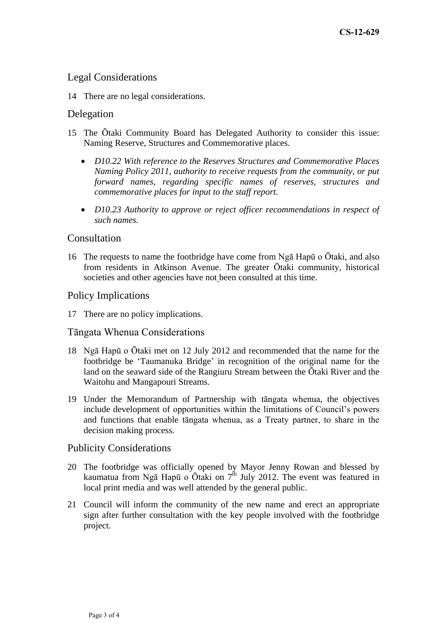## Legal Considerations

14 There are no legal considerations.

### Delegation

- 15 The Ōtaki Community Board has Delegated Authority to consider this issue: Naming Reserve, Structures and Commemorative places.
	- *D10.22 With reference to the Reserves Structures and Commemorative Places Naming Policy 2011, authority to receive requests from the community, or put forward names, regarding specific names of reserves, structures and commemorative places for input to the staff report.*
	- *D10.23 Authority to approve or reject officer recommendations in respect of such names.*

#### **Consultation**

16 The requests to name the footbridge have come from Ngā Hapū o Ōtaki, and also from residents in Atkinson Avenue. The greater Ōtaki community, historical societies and other agencies have not been consulted at this time.

#### Policy Implications

17 There are no policy implications.

#### Tāngata Whenua Considerations

- 18 Ngā Hapū o Ōtaki met on 12 July 2012 and recommended that the name for the footbridge be 'Taumanuka Bridge' in recognition of the original name for the land on the seaward side of the Rangiuru Stream between the Ōtaki River and the Waitohu and Mangapouri Streams.
- 19 Under the Memorandum of Partnership with tāngata whenua, the objectives include development of opportunities within the limitations of Council's powers and functions that enable tāngata whenua, as a Treaty partner, to share in the decision making process.

#### Publicity Considerations

- 20 The footbridge was officially opened by Mayor Jenny Rowan and blessed by kaumatua from Ngā Hapū o Ōtaki on  $7<sup>th</sup>$  July 2012. The event was featured in local print media and was well attended by the general public.
- 21 Council will inform the community of the new name and erect an appropriate sign after further consultation with the key people involved with the footbridge project.